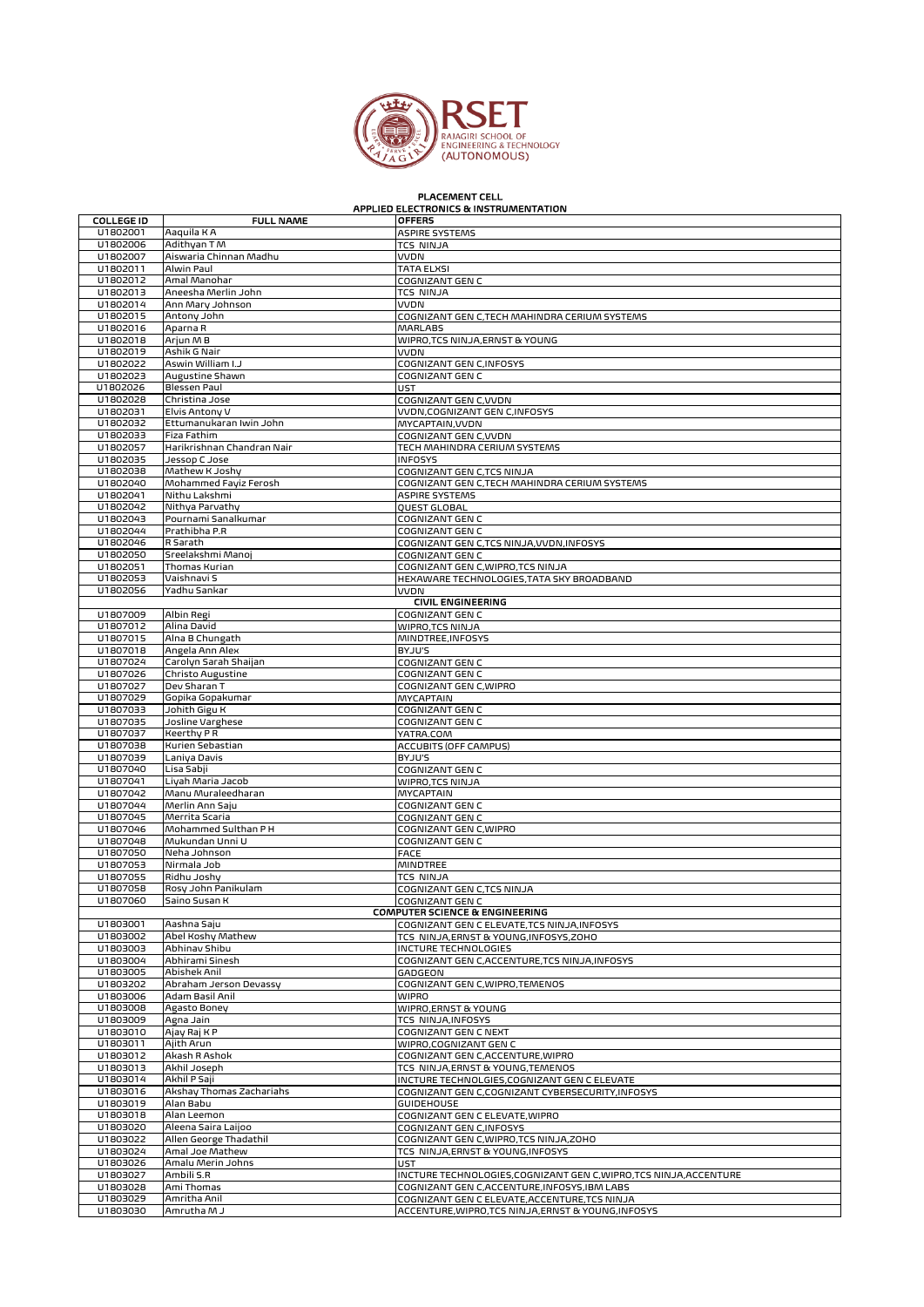

## PLACEMENT CELL APPLIED ELECTRONICS & INSTRUMENTATION

| <b>COLLEGE ID</b>    | <b>FULL NAME</b>                         | <b>OFFERS</b>                                                                                    |
|----------------------|------------------------------------------|--------------------------------------------------------------------------------------------------|
| U1802001             | Aaquila K A                              | <b>ASPIRE SYSTEMS</b>                                                                            |
| U1802006             | Adithyan T M                             | <b>TCS NINJA</b>                                                                                 |
| U1802007             | Aiswaria Chinnan Madhu                   | VVDN                                                                                             |
| U1802011             | Alwin Paul                               | <b>TATA ELXSI</b>                                                                                |
| U1802012             | Amal Manohar                             | COGNIZANT GEN C                                                                                  |
| U1802013             | Aneesha Merlin John                      | <b>TCS NINJA</b>                                                                                 |
| U1802014             | Ann Mary Johnson                         | <b>VVDN</b>                                                                                      |
| U1802015             | Antony John                              | COGNIZANT GEN C, TECH MAHINDRA CERIUM SYSTEMS                                                    |
| U1802016             | Aparna R                                 | <b>MARLABS</b>                                                                                   |
| U1802018             | Arjun MB                                 | WIPRO,TCS NINJA,ERNST & YOUNG                                                                    |
| U1802019<br>U1802022 | Ashik G Nair<br>Aswin William I.J        | VVDN                                                                                             |
| U1802023             | Augustine Shawn                          | COGNIZANT GEN C, INFOSYS<br>COGNIZANT GEN C                                                      |
| U1802026             | Blessen Paul                             | UST                                                                                              |
| U1802028             | Christina Jose                           | COGNIZANT GEN C, VVDN                                                                            |
| U1802031             | Elvis Antony V                           | VVDN, COGNIZANT GEN C, INFOSYS                                                                   |
| U1802032             | Ettumanukaran Iwin John                  | MYCAPTAIN, VVDN                                                                                  |
| U1802033             | Fiza Fathim                              | COGNIZANT GEN C, VVDN                                                                            |
| U1802057             | Harikrishnan Chandran Nair               | TECH MAHINDRA CERIUM SYSTEMS                                                                     |
| U1802035             | Jessop C Jose                            | <b>INFOSYS</b>                                                                                   |
| U1802038             | Mathew K Joshy                           | COGNIZANT GEN C,TCS NINJA                                                                        |
| U1802040             | Mohammed Fayiz Ferosh                    | COGNIZANT GEN C,TECH MAHINDRA CERIUM SYSTEMS                                                     |
| U1802041             | Nithu Lakshmi                            | <b>ASPIRE SYSTEMS</b>                                                                            |
| U1802042             | Nithya Parvathy                          | QUEST GLOBAL                                                                                     |
| U1802043             | Pournami Sanalkumar                      | COGNIZANT GEN C                                                                                  |
| U1802044             | Prathibha P.R                            | COGNIZANT GEN C                                                                                  |
| U1802046             | R Sarath                                 | COGNIZANT GEN C,TCS NINJA,VVDN,INFOSYS                                                           |
| U1802050<br>U1802051 | Sreelakshmi Manoj<br>Thomas Kurian       | COGNIZANT GEN C<br>COGNIZANT GEN C, WIPRO, TCS NINJA                                             |
| U1802053             | Vaishnavi S                              | HEXAWARE TECHNOLOGIES, TATA SKY BROADBAND                                                        |
| U1802056             | Yadhu Sankar                             | <b>VVDN</b>                                                                                      |
|                      |                                          | <b>CIVIL ENGINEERING</b>                                                                         |
| U1807009             | Albin Regi                               | COGNIZANT GEN C                                                                                  |
| U1807012             | Alina David                              | WIPRO, TCS NINJA                                                                                 |
| U1807015             | Alna B Chungath                          | MINDTREE.INFOSYS                                                                                 |
| U1807018             | Angela Ann Alex                          | BYJU'S                                                                                           |
| U1807024             | Carolyn Sarah Shaijan                    | COGNIZANT GEN C                                                                                  |
| U1807026             | <b>Christo Augustine</b>                 | COGNIZANT GEN C                                                                                  |
| U1807027<br>U1807029 | Dev Sharan T                             | COGNIZANT GEN C, WIPRO                                                                           |
| U1807033             | Gopika Gopakumar<br>Johith Gigu K        | MYCAPTAIN<br>COGNIZANT GEN C                                                                     |
| U1807035             | Josline Varghese                         | COGNIZANT GEN C                                                                                  |
| U1807037             | <b>Keerthy PR</b>                        | YATRA.COM                                                                                        |
| U1807038             | Kurien Sebastian                         | <b>ACCUBITS (OFF CAMPUS)</b>                                                                     |
| U1807039             | Laniya Davis                             | BYJU'S                                                                                           |
| U1807040             | Lisa Sabji                               | COGNIZANT GEN C                                                                                  |
| U1807041             | Liyah Maria Jacob                        | WIPRO,TCS NINJA                                                                                  |
| U1807042             | Manu Muraleedharan                       | <b>MYCAPTAIN</b>                                                                                 |
| U1807044<br>U1807045 | Merlin Ann Saju<br>Merrita Scaria        | COGNIZANT GEN C<br>COGNIZANT GEN C                                                               |
| U1807046             | Mohammed Sulthan P H                     | COGNIZANT GEN C, WIPRO                                                                           |
| U1807048             | Mukundan Unni U                          | COGNIZANT GEN C                                                                                  |
| U1807050             | Neha Johnson                             | <b>FACE</b>                                                                                      |
| U1807053             | Nirmala Job                              | MINDTREE                                                                                         |
| U1807055             | Ridhu Joshy                              | <b>TCS NINJA</b>                                                                                 |
| U1807058             | Rosy John Panikulam                      | COGNIZANT GEN C,TCS NINJA                                                                        |
| U1807060             | Saino Susan K                            | COGNIZANT GEN C                                                                                  |
|                      |                                          | <b>COMPUTER SCIENCE &amp; ENGINEERING</b>                                                        |
| U1803001             | Aashna Saju                              | COGNIZANT GEN C ELEVATE, TCS NINJA, INFOSYS                                                      |
| U1803002<br>U1803003 | Abel Koshy Mathew                        | TCS NINJA, ERNST & YOUNG, INFOSYS, ZOHO                                                          |
| U1803004             | Abhinav Shibu<br>Abhirami Sinesh         | INCTURE TECHNOLOGIES<br>COGNIZANT GEN C,ACCENTURE,TCS NINJA,INFOSYS                              |
| U1803005             | Abishek Anil                             | GADGEON                                                                                          |
| U1803202             | Abraham Jerson Devassy                   | COGNIZANT GEN C, WIPRO, TEMENOS                                                                  |
| U1803006             | Adam Basil Anil                          | <b>WIPRO</b>                                                                                     |
| U1803008             | Agasto Boney                             | WIPRO, ERNST & YOUNG                                                                             |
| U1803009             | Agna Jain                                | TCS NINJA, INFOSYS                                                                               |
| U1803010             | Ajay Raj K P                             | COGNIZANT GEN C NEXT                                                                             |
| U1803011             | Ajith Arun                               | WIPRO, COGNIZANT GEN C                                                                           |
| U1803012             | Akash R Ashok                            | COGNIZANT GEN C, ACCENTURE, WIPRO                                                                |
| U1803013             | Akhil Joseph                             | TCS NINJA, ERNST & YOUNG, TEMENOS                                                                |
| U1803014<br>U1803016 | Akhil P Saji<br>Akshay Thomas Zachariahs | INCTURE TECHNOLGIES, COGNIZANT GEN C ELEVATE<br>COGNIZANT GEN C,COGNIZANT CYBERSECURITY, INFOSYS |
| U1803019             | Alan Babu                                | <b>GUIDEHOUSE</b>                                                                                |
| U1803018             | Alan Leemon                              | COGNIZANT GEN C ELEVATE, WIPRO                                                                   |
| U1803020             | Aleena Saira Laijoo                      | COGNIZANT GEN C, INFOSYS                                                                         |
| U1803022             | Allen George Thadathil                   | COGNIZANT GEN C, WIPRO, TCS NINJA, ZOHO                                                          |
| U1803024             | Amal Joe Mathew                          | TCS NINJA, ERNST & YOUNG, INFOSYS                                                                |
| U1803026             | Amalu Merin Johns                        | UST                                                                                              |
| U1803027             | Ambili S.R                               | INCTURE TECHNOLOGIES, COGNIZANT GEN C, WIPRO, TCS NINJA, ACCENTURE                               |
| U1803028             | Ami Thomas                               | COGNIZANT GEN C, ACCENTURE, INFOSYS, IBM LABS                                                    |
| U1803029             | Amritha Anil                             | COGNIZANT GEN C ELEVATE, ACCENTURE, TCS NINJA                                                    |
| U1803030             | Amrutha M J                              | ACCENTURE, WIPRO, TCS NINJA, ERNST & YOUNG, INFOSYS                                              |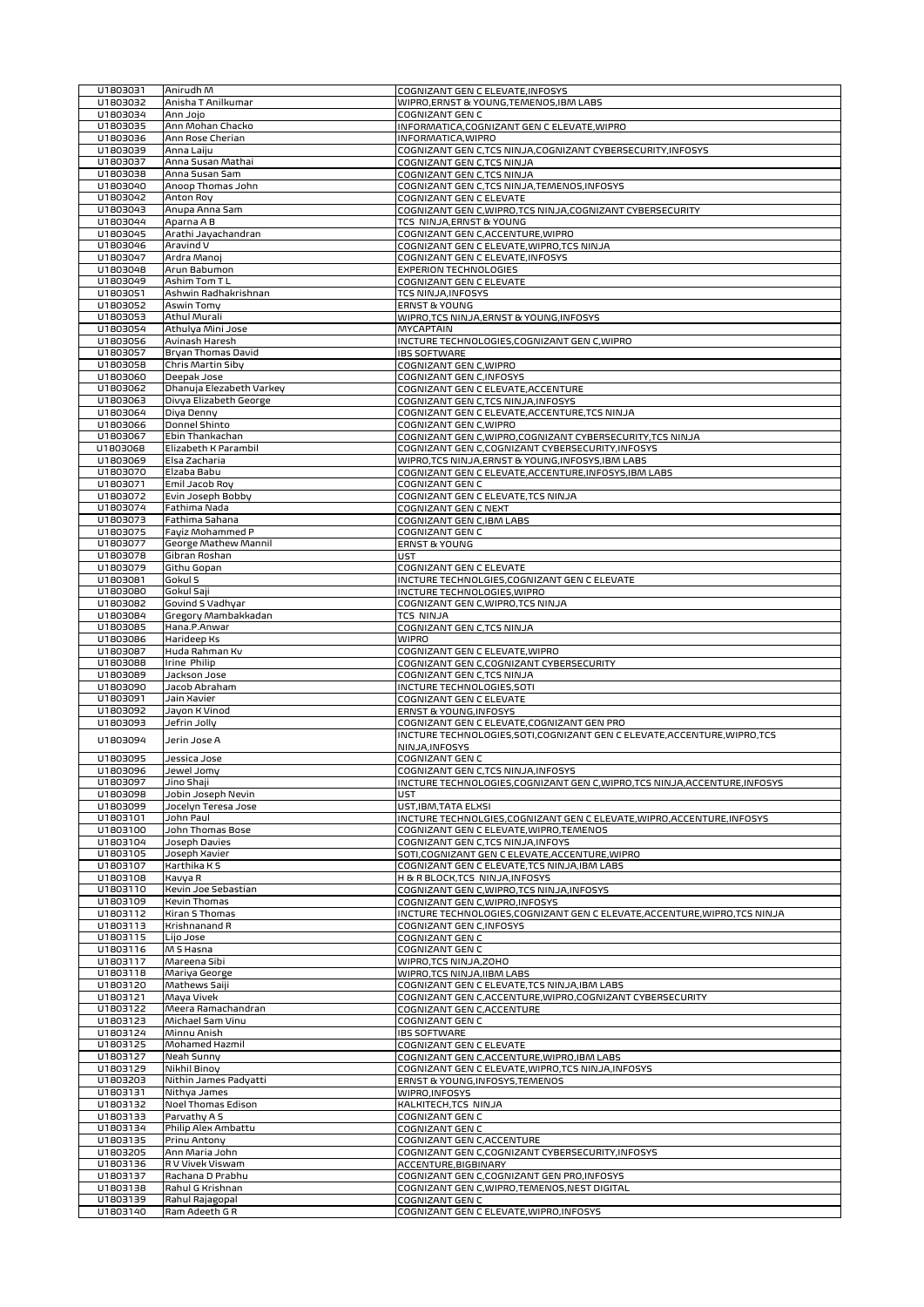| U1803031             | Anirudh M                         | COGNIZANT GEN C ELEVATE, INFOSYS                                           |
|----------------------|-----------------------------------|----------------------------------------------------------------------------|
| U1803032             | Anisha T Anilkumar                | WIPRO, ERNST & YOUNG, TEMENOS, IBM LABS                                    |
| U1803034             | Ojol nnA                          | COGNIZANT GEN C                                                            |
|                      |                                   |                                                                            |
| U1803035             | Ann Mohan Chacko                  | INFORMATICA, COGNIZANT GEN C ELEVATE, WIPRO                                |
| U1803036             | Ann Rose Cherian                  | INFORMATICA, WIPRO                                                         |
| U1803039             | Anna Laiiu                        | COGNIZANT GEN C,TCS NINJA,COGNIZANT CYBERSECURITY, INFOSYS                 |
| U1803037             | Anna Susan Mathai                 | COGNIZANT GEN C,TCS NINJA                                                  |
| U1803038             | Anna Susan Sam                    | COGNIZANT GEN C,TCS NINJA                                                  |
| U1803040             | Anoop Thomas John                 |                                                                            |
|                      |                                   | COGNIZANT GEN C,TCS NINJA,TEMENOS,INFOSYS                                  |
| U1803042             | Anton Roy                         | COGNIZANT GEN C ELEVATE                                                    |
| U1803043             | Anupa Anna Sam                    | COGNIZANT GEN C, WIPRO, TCS NINJA, COGNIZANT CYBERSECURITY                 |
| U1803044             | Aparna A B                        | TCS NINJA, ERNST & YOUNG                                                   |
| U1803045             | Arathi Jayachandran               | COGNIZANT GEN C, ACCENTURE, WIPRO                                          |
| U1803046             | Aravind V                         | COGNIZANT GEN C ELEVATE, WIPRO, TCS NINJA                                  |
|                      |                                   |                                                                            |
| U1803047             | Ardra Manoj                       | COGNIZANT GEN C ELEVATE, INFOSYS                                           |
| U1803048             | Arun Babumon                      | <b>EXPERION TECHNOLOGIES</b>                                               |
| U1803049             | Ashim Tom TL                      | COGNIZANT GEN C ELEVATE                                                    |
| U1803051             | Ashwin Radhakrishnan              | TCS NINJA, INFOSYS                                                         |
| U1803052             | Aswin Tomy                        | <b>ERNST &amp; YOUNG</b>                                                   |
|                      |                                   |                                                                            |
| U1803053             | <b>Athul Murali</b>               | WIPRO,TCS NINJA, ERNST & YOUNG, INFOSYS                                    |
| U1803054             | Athulya Mini Jose                 | <b>MYCAPTAIN</b>                                                           |
| U1803056             | Avinash Haresh                    | INCTURE TECHNOLOGIES, COGNIZANT GEN C, WIPRO                               |
| U1803057             | Bryan Thomas David                | <b>IBS SOFTWARE</b>                                                        |
| U1803058             | Chris Martin Siby                 | COGNIZANT GEN C, WIPRO                                                     |
|                      |                                   |                                                                            |
| U1803060             | Deepak Jose                       | COGNIZANT GEN C, INFOSYS                                                   |
| U1803062             | Dhanuja Elezabeth Varkey          | COGNIZANT GEN C ELEVATE, ACCENTURE                                         |
| U1803063             | Divya Elizabeth George            | COGNIZANT GEN C,TCS NINJA, INFOSYS                                         |
| U1803064             | Diya Denny                        | COGNIZANT GEN C ELEVATE, ACCENTURE, TCS NINJA                              |
| U1803066             | Donnel Shinto                     | COGNIZANT GEN C, WIPRO                                                     |
| U1803067             | Ebin Thankachan                   |                                                                            |
|                      |                                   | COGNIZANT GEN C, WIPRO, COGNIZANT CYBERSECURITY, TCS NINJA                 |
| U1803068             | Elizabeth K Parambil              | COGNIZANT GEN C, COGNIZANT CYBERSECURITY, INFOSYS                          |
| U1803069             | Elsa Zacharia                     | WIPRO,TCS NINJA,ERNST & YOUNG,INFOSYS,IBM LABS                             |
| U1803070             | Elzaba Babu                       | COGNIZANT GEN C ELEVATE, ACCENTURE, INFOSYS, IBM LABS                      |
| U1803071             | Emil Jacob Roy                    | COGNIZANT GEN C                                                            |
|                      |                                   |                                                                            |
| U1803072             | Evin Joseph Bobby                 | COGNIZANT GEN C ELEVATE, TCS NINJA                                         |
| U1803074             | Fathima Nada                      | COGNIZANT GEN C NEXT                                                       |
| U1803073             | Fathima Sahana                    | COGNIZANT GEN C, IBM LABS                                                  |
| U1803075             | Fayiz Mohammed P                  | COGNIZANT GEN C                                                            |
| U1803077             | George Mathew Mannil              | <b>ERNST &amp; YOUNG</b>                                                   |
| U1803078             | Gibran Roshan                     | <b>UST</b>                                                                 |
|                      |                                   |                                                                            |
| U1803079             | Githu Gopan                       | COGNIZANT GEN C ELEVATE                                                    |
| U1803081             | Gokul S                           | INCTURE TECHNOLGIES, COGNIZANT GEN C ELEVATE                               |
| U1803080             | Gokul Saji                        | INCTURE TECHNOLOGIES, WIPRO                                                |
| U1803082             | Govind S Vadhyar                  | COGNIZANT GEN C, WIPRO, TCS NINJA                                          |
| U1803084             | Gregory Mambakkadan               | TCS NINJA                                                                  |
|                      |                                   |                                                                            |
| U1803085             | Hana.P.Anwar                      | COGNIZANT GEN C,TCS NINJA                                                  |
| U1803086             | Harideep Ks                       | <b>WIPRO</b>                                                               |
| U1803087             | Huda Rahman Kv                    | COGNIZANT GEN C ELEVATE, WIPRO                                             |
| U1803088             | Irine Philip                      | COGNIZANT GEN C,COGNIZANT CYBERSECURITY                                    |
| U1803089             | Jackson Jose                      | COGNIZANT GEN C,TCS NINJA                                                  |
| U1803090             | Jacob Abraham                     | INCTURE TECHNOLOGIES, SOTI                                                 |
|                      |                                   |                                                                            |
| U1803091             | Jain Xavier                       | COGNIZANT GEN C ELEVATE                                                    |
| U1803092             | Jayon K Vinod                     | ERNST & YOUNG, INFOSYS                                                     |
| U1803093             | Jefrin Jolly                      | COGNIZANT GEN C ELEVATE, COGNIZANT GEN PRO                                 |
|                      |                                   | INCTURE TECHNOLOGIES, SOTI, COGNIZANT GEN C ELEVATE, ACCENTURE, WIPRO, TCS |
| U1803094             | Jerin Jose A                      |                                                                            |
|                      |                                   | NINJA, INFOSYS                                                             |
| U1803095             | Jessica Jose                      | COGNIZANT GEN C                                                            |
| U1803096             | Jewel Jomy                        | COGNIZANT GEN C,TCS NINJA, INFOSYS                                         |
| U1803097             | Jino Shaji                        | INCTURE TECHNOLOGIES,COGNIZANT GEN C,WIPRO,TCS NINJA,ACCENTURE,INFOSYS     |
| U1803098             | Jobin Joseph Nevin                | UST                                                                        |
| U1803099             | Jocelyn Teresa Jose               | UST, IBM, TATA ELXSI                                                       |
|                      |                                   |                                                                            |
| U1803101             | John Paul                         | INCTURE TECHNOLGIES, COGNIZANT GEN C ELEVATE, WIPRO, ACCENTURE, INFOSYS    |
| U1803100             | John Thomas Bose                  | COGNIZANT GEN C ELEVATE, WIPRO, TEMENOS                                    |
| U1803104             | Joseph Davies                     | COGNIZANT GEN C,TCS NINJA, INFOYS                                          |
| U1803105             |                                   |                                                                            |
|                      | Joseph Xavier                     |                                                                            |
|                      |                                   | SOTI, COGNIZANT GEN C ELEVATE, ACCENTURE, WIPRO                            |
| U1803107             | Karthika K S                      | COGNIZANT GEN C ELEVATE, TCS NINJA, IBM LABS                               |
| U1803108             | Kavya R                           | H & R BLOCK, TCS NINJA, INFOSYS                                            |
| U1803110             | Kevin Joe Sebastian               | COGNIZANT GEN C, WIPRO, TCS NINJA, INFOSYS                                 |
| U1803109             | <b>Kevin Thomas</b>               | COGNIZANT GEN C, WIPRO, INFOSYS                                            |
| U1803112             | Kiran S Thomas                    | INCTURE TECHNOLOGIES,COGNIZANT GEN C ELEVATE,ACCENTURE,WIPRO,TCS NINJA     |
| U1803113             | Krishnanand R                     | COGNIZANT GEN C, INFOSYS                                                   |
|                      |                                   |                                                                            |
| U1803115             | Lijo Jose                         | COGNIZANT GEN C                                                            |
| U1803116             | M S Hasna                         | COGNIZANT GEN C                                                            |
| U1803117             | Mareena Sibi                      | WIPRO, TCS NINJA, ZOHO                                                     |
| U1803118             | Mariya George                     | WIPRO,TCS NINJA,IIBM LABS                                                  |
| U1803120             | Mathews Saiji                     | COGNIZANT GEN C ELEVATE, TCS NINJA, IBM LABS                               |
| U1803121             | Maya Vivek                        |                                                                            |
|                      |                                   | COGNIZANT GEN C, ACCENTURE, WIPRO, COGNIZANT CYBERSECURITY                 |
| U1803122             | Meera Ramachandran                | COGNIZANT GEN C, ACCENTURE                                                 |
| U1803123             | Michael Sam Vinu                  | COGNIZANT GEN C                                                            |
| U1803124             | Minnu Anish                       | <b>IBS SOFTWARE</b>                                                        |
| U1803125             | Mohamed Hazmil                    | COGNIZANT GEN C ELEVATE                                                    |
| U1803127             | Neah Sunny                        | COGNIZANT GEN C, ACCENTURE, WIPRO, IBM LABS                                |
|                      |                                   |                                                                            |
| U1803129             | Nikhil Binoy                      | COGNIZANT GEN C ELEVATE, WIPRO, TCS NINJA, INFOSYS                         |
| U1803203             | Nithin James Padyatti             | ERNST & YOUNG, INFOSYS, TEMENOS                                            |
| U1803131             | Nithya James                      | WIPRO, INFOSYS                                                             |
| U1803132             | Noel Thomas Edison                | KALKITECH, TCS NINJA                                                       |
| U1803133             | Parvathy A S                      | COGNIZANT GEN C                                                            |
|                      |                                   |                                                                            |
| U1803134             | Philip Alex Ambattu               | COGNIZANT GEN C                                                            |
| U1803135             | Prinu Antony                      | COGNIZANT GEN C, ACCENTURE                                                 |
| U1803205             | Ann Maria John                    | COGNIZANT GEN C,COGNIZANT CYBERSECURITY, INFOSYS                           |
| U1803136             | R V Vivek Viswam                  | ACCENTURE, BIGBINARY                                                       |
| U1803137             | Rachana D Prabhu                  | COGNIZANT GEN C,COGNIZANT GEN PRO, INFOSYS                                 |
| U1803138             | Rahul G Krishnan                  |                                                                            |
|                      |                                   | COGNIZANT GEN C, WIPRO, TEMENOS, NEST DIGITAL                              |
| U1803139<br>U1803140 | Rahul Rajagopal<br>Ram Adeeth G R | COGNIZANT GEN C<br>COGNIZANT GEN C ELEVATE, WIPRO, INFOSYS                 |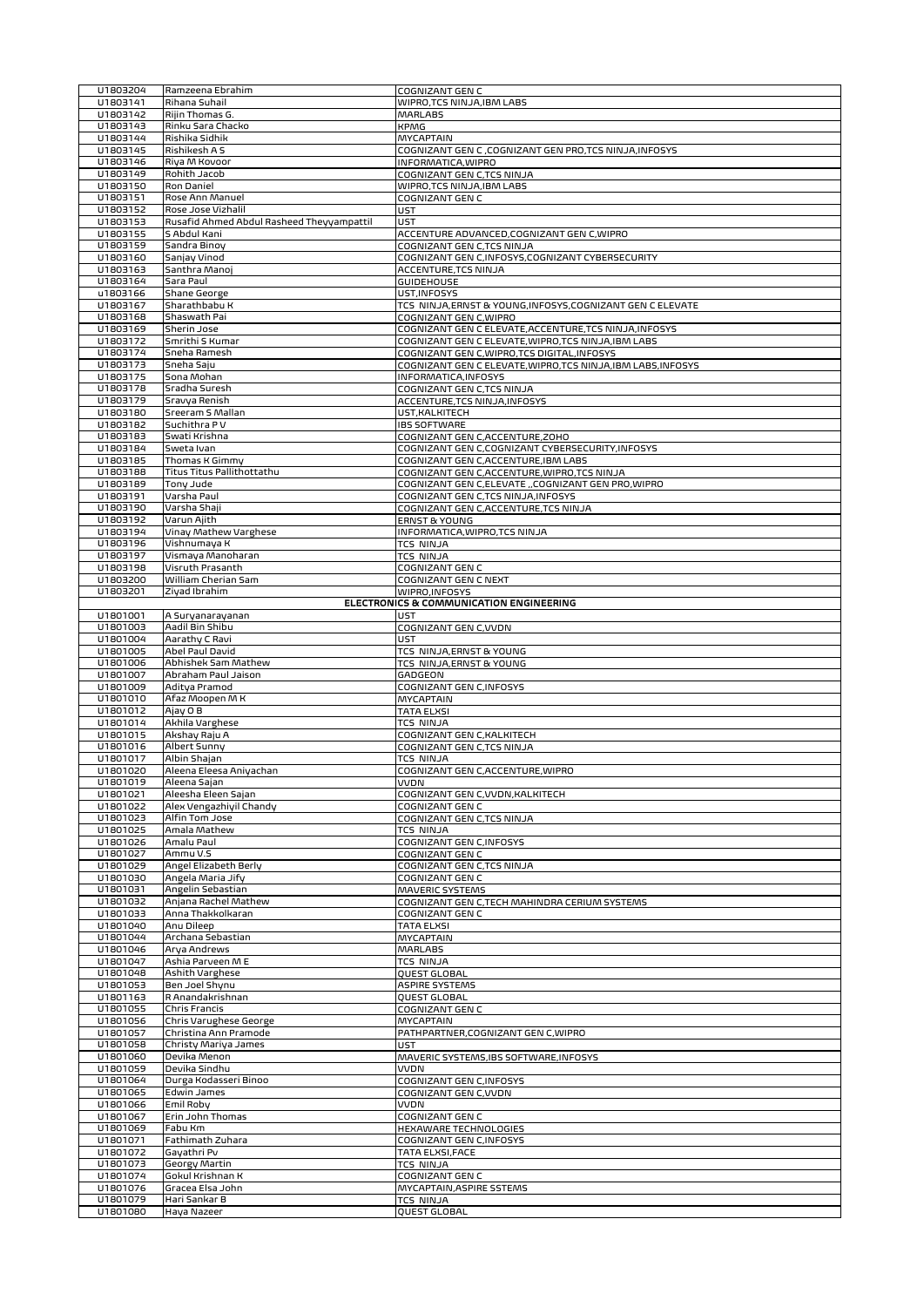|                      | Ramzeena Ebrahim                          | <b>COGNIZANT GEN C</b>                                                                              |
|----------------------|-------------------------------------------|-----------------------------------------------------------------------------------------------------|
| U1803141             | Rihana Suhail                             | WIPRO, TCS NINJA, IBM LABS                                                                          |
| U1803142             | Rijin Thomas G.                           | <b>MARLABS</b>                                                                                      |
| U1803143             | Rinku Sara Chacko                         | <b>KPMG</b>                                                                                         |
| U1803144             | Rishika Sidhik                            | <b>MYCAPTAIN</b>                                                                                    |
| U1803145             | Rishikesh A S                             | COGNIZANT GEN C , COGNIZANT GEN PRO, TCS NINJA, INFOSYS                                             |
| U1803146             | Riya M Kovoor                             | INFORMATICA, WIPRO                                                                                  |
| U1803149             | Rohith Jacob                              | COGNIZANT GEN C,TCS NINJA                                                                           |
| U1803150             | Ron Daniel                                | WIPRO,TCS NINJA,IBM LABS                                                                            |
| U1803151             | Rose Ann Manuel                           | COGNIZANT GEN C                                                                                     |
| U1803152             | Rose Jose Vizhalil                        | <b>UST</b>                                                                                          |
| U1803153             | Rusafid Ahmed Abdul Rasheed Theyyampattil | UST                                                                                                 |
| U1803155             | S Abdul Kani                              | ACCENTURE ADVANCED, COGNIZANT GEN C, WIPRO                                                          |
| U1803159             | Sandra Binoy                              | COGNIZANT GEN C,TCS NINJA                                                                           |
| U1803160             | Sanjay Vinod                              | COGNIZANT GEN C, INFOSYS, COGNIZANT CYBERSECURITY                                                   |
| U1803163             | Santhra Manoj                             | <b>ACCENTURE, TCS NINJA</b>                                                                         |
| U1803164             | Sara Paul                                 | <b>GUIDEHOUSE</b>                                                                                   |
| u1803166             | <b>Shane George</b>                       | UST, INFOSYS                                                                                        |
| U1803167             | Sharathbabu K                             | TCS NINJA, ERNST & YOUNG, INFOSYS, COGNIZANT GEN C ELEVATE                                          |
| U1803168<br>U1803169 | Shaswath Pai                              | COGNIZANT GEN C, WIPRO                                                                              |
|                      | Sherin Jose                               | COGNIZANT GEN C ELEVATE, ACCENTURE, TCS NINJA, INFOSYS                                              |
| U1803172<br>U1803174 | Smrithi S Kumar<br>Sneha Ramesh           | COGNIZANT GEN C ELEVATE, WIPRO, TCS NINJA, IBM LABS<br>COGNIZANT GEN C, WIPRO, TCS DIGITAL, INFOSYS |
| U1803173             | Sneha Saju                                | COGNIZANT GEN C ELEVATE, WIPRO, TCS NINJA, IBM LABS, INFOSYS                                        |
| U1803175             | Sona Mohan                                |                                                                                                     |
| U1803178             |                                           | INFORMATICA, INFOSYS                                                                                |
| U1803179             | Sradha Suresh<br>Sravya Renish            | COGNIZANT GEN C,TCS NINJA<br>ACCENTURE, TCS NINJA, INFOSYS                                          |
| U1803180             | Sreeram S Mallan                          | UST, KALKITECH                                                                                      |
| U1803182             | Suchithra PV                              |                                                                                                     |
| U1803183             | Swati Krishna                             | <b>IBS SOFTWARE</b>                                                                                 |
| U1803184             | Sweta Ivan                                | COGNIZANT GEN C, ACCENTURE, ZOHO                                                                    |
| U1803185             | Thomas K Gimmy                            | COGNIZANT GEN C, COGNIZANT CYBERSECURITY, INFOSYS                                                   |
| U1803188             | Titus Titus Pallithottathu                | COGNIZANT GEN C, ACCENTURE, IBM LABS                                                                |
| U1803189             | Tony Jude                                 | COGNIZANT GEN C, ACCENTURE, WIPRO, TCS NINJA<br>COGNIZANT GEN C,ELEVATE ,,COGNIZANT GEN PRO, WIPRO  |
| U1803191             | Varsha Paul                               |                                                                                                     |
| U1803190             | Varsha Shaji                              | COGNIZANT GEN C,TCS NINJA, INFOSYS                                                                  |
| U1803192             | Varun Ajith                               | COGNIZANT GEN C, ACCENTURE, TCS NINJA<br><b>ERNST &amp; YOUNG</b>                                   |
| U1803194             |                                           | INFORMATICA, WIPRO, TCS NINJA                                                                       |
|                      | Vinay Mathew Varghese<br>Vishnumaya K     |                                                                                                     |
| U1803196             |                                           | <b>TCS NINJA</b>                                                                                    |
| U1803197             | Vismaya Manoharan                         | <b>TCS NINJA</b>                                                                                    |
| U1803198             | Visruth Prasanth                          | COGNIZANT GEN C                                                                                     |
| U1803200             | William Cherian Sam                       | COGNIZANT GEN C NEXT                                                                                |
| U1803201             | Ziyad Ibrahim                             | WIPRO, INFOSYS<br>ELECTRONICS & COMMUNICATION ENGINEERING                                           |
|                      |                                           |                                                                                                     |
| U1801001             | A Suryanarayanan                          | <b>UST</b>                                                                                          |
| U1801003             | Aadil Bin Shibu                           | COGNIZANT GEN C, VVDN                                                                               |
| U1801004<br>U1801005 | Aarathy C Ravi<br>Abel Paul David         | <b>UST</b>                                                                                          |
| U1801006             | Abhishek Sam Mathew                       | TCS NINJA, ERNST & YOUNG                                                                            |
| U1801007             | Abraham Paul Jaison                       | TCS NINJA, ERNST & YOUNG                                                                            |
|                      | Aditya Pramod                             | GADGEON<br>COGNIZANT GEN C, INFOSYS                                                                 |
| U1801009<br>U1801010 | Afaz Moopen M K                           |                                                                                                     |
|                      | Ajay O B                                  | <b>MYCAPTAIN</b><br><b>TATA ELXSI</b>                                                               |
| U1801012             |                                           |                                                                                                     |
|                      |                                           |                                                                                                     |
| U1801014             | Akhila Varghese                           | <b>TCS NINJA</b>                                                                                    |
| U1801015             | Akshay Raju A                             | COGNIZANT GEN C, KALKITECH                                                                          |
| U1801016             | Albert Sunny                              | COGNIZANT GEN C,TCS NINJA                                                                           |
| U1801017             | Albin Shajan                              | <b>TCS NINJA</b>                                                                                    |
| U1801020             | Aleena Eleesa Aniyachan                   | COGNIZANT GEN C, ACCENTURE, WIPRO                                                                   |
| U1801019             | Aleena Sajan                              | <b>VVDN</b>                                                                                         |
| U1801021             | Aleesha Eleen Sajan                       | COGNIZANT GEN C, VVDN, KALKITECH                                                                    |
| U1801022             | Alex Vengazhiyil Chandy                   | COGNIZANT GEN C                                                                                     |
| U1801023             | Alfin Tom Jose                            | COGNIZANT GEN C,TCS NINJA                                                                           |
| U1801025             | Amala Mathew                              | <b>TCS NINJA</b>                                                                                    |
| U1801026             | Amalu Paul<br>Ammu V.S                    | COGNIZANT GEN C, INFOSYS                                                                            |
| U1801027<br>U1801029 | Angel Elizabeth Berly                     | COGNIZANT GEN C<br>COGNIZANT GEN C.TCS NINJA                                                        |
| U1801030             | Angela Maria Jify                         | COGNIZANT GEN C                                                                                     |
| U1801031             | Angelin Sebastian                         | MAVERIC SYSTEMS                                                                                     |
| U1801032             | Anjana Rachel Mathew                      | COGNIZANT GEN C, TECH MAHINDRA CERIUM SYSTEMS                                                       |
| U1801033             | Anna Thakkolkaran                         | COGNIZANT GEN C                                                                                     |
| U1801040             | Anu Dileep                                | <b>TATA ELXSI</b>                                                                                   |
| U1801044             | Archana Sebastian                         | <b>MYCAPTAIN</b>                                                                                    |
| U1801046             | Arya Andrews                              | <b>MARLABS</b>                                                                                      |
| U1801047             | Ashia Parveen M E                         | <b>TCS NINJA</b>                                                                                    |
| U1801048             | Ashith Varghese                           | QUEST GLOBAL                                                                                        |
| U1801053             | Ben Joel Shynu                            | <b>ASPIRE SYSTEMS</b>                                                                               |
| U1801163             | R Anandakrishnan                          | QUEST GLOBAL                                                                                        |
| U1801055             | Chris Francis                             | COGNIZANT GEN C                                                                                     |
| U1801056             | Chris Varughese George                    | <b>MYCAPTAIN</b>                                                                                    |
| U1801057             | Christina Ann Pramode                     | PATHPARTNER, COGNIZANT GEN C, WIPRO                                                                 |
| U1801058             | Christy Mariya James                      | UST                                                                                                 |
| U1801060             | Devika Menon                              | MAVERIC SYSTEMS, IBS SOFTWARE, INFOSYS                                                              |
| U1801059             | Devika Sindhu                             | <b>VVDN</b>                                                                                         |
| U1801064             | Durga Kodasseri Binoo                     | COGNIZANT GEN C, INFOSYS                                                                            |
| U1801065             | Edwin James                               | COGNIZANT GEN C, VVDN                                                                               |
| U1801066             | Emil Roby                                 | <b>VVDN</b>                                                                                         |
| U1801067             | Erin John Thomas                          | COGNIZANT GEN C                                                                                     |
| U1801069             | Fabu Km                                   | HEXAWARE TECHNOLOGIES                                                                               |
| U1801071             | Fathimath Zuhara                          | COGNIZANT GEN C, INFOSYS                                                                            |
| U1801072             | Gayathri Pv                               | TATA ELXSI, FACE                                                                                    |
| U1801073             | Georgy Martin                             | <b>TCS NINJA</b>                                                                                    |
| U1801074             | Gokul Krishnan K                          | COGNIZANT GEN C                                                                                     |
| U1801076             | Gracea Elsa John                          | MYCAPTAIN, ASPIRE SSTEMS                                                                            |
| U1801079<br>U1801080 | Hari Sankar B<br>Haya Nazeer              | <b>TCS NINJA</b><br>QUEST GLOBAL                                                                    |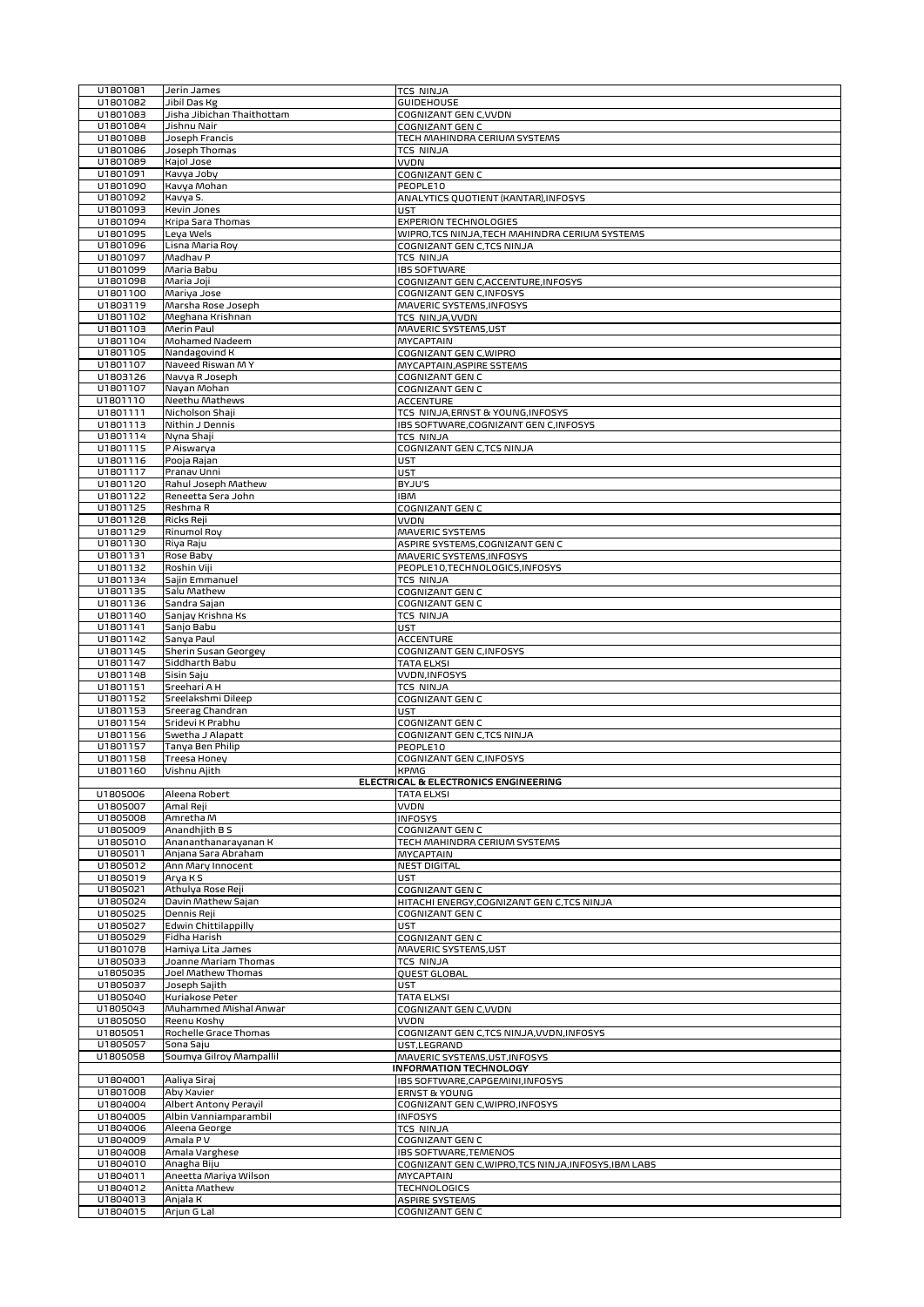|                      | Jerin James                  | <b>TCS NINJA</b>                                     |
|----------------------|------------------------------|------------------------------------------------------|
| U1801082             | Jibil Das Kg                 | <b>GUIDEHOUSE</b>                                    |
| U1801083             | Jisha Jibichan Thaithottam   | COGNIZANT GEN C, VVDN                                |
| U1801084             | Jishnu Nair                  | COGNIZANT GEN C                                      |
| U1801088             | Joseph Francis               | TECH MAHINDRA CERIUM SYSTEMS                         |
| U1801086             | Joseph Thomas                | TCS NINJA                                            |
| U1801089             | Kajol Jose                   | VVDN                                                 |
| U1801091             | Kavya Joby                   | COGNIZANT GEN C                                      |
| U1801090             | Kavya Mohan                  | PEOPLE10                                             |
| U1801092             | Kavya S.                     | ANALYTICS QUOTIENT (KANTAR), INFOSYS                 |
| U1801093             | Kevin Jones                  | UST                                                  |
| U1801094             | Kripa Sara Thomas            | EXPERION TECHNOLOGIES                                |
| U1801095             | Leya Wels                    | WIPRO,TCS NINJA,TECH MAHINDRA CERIUM SYSTEMS         |
| U1801096             | Lisna Maria Roy              | COGNIZANT GEN C,TCS NINJA                            |
| U1801097             | Madhav P                     | <b>TCS NINJA</b>                                     |
| U1801099             | Maria Babu                   | <b>IBS SOFTWARE</b>                                  |
| U1801098             | Maria Joji                   | COGNIZANT GEN C, ACCENTURE, INFOSYS                  |
| U1801100             | Mariya Jose                  | COGNIZANT GEN C, INFOSYS                             |
| U1803119             | Marsha Rose Joseph           | MAVERIC SYSTEMS, INFOSYS                             |
| U1801102             | Meghana Krishnan             | TCS NINJA, VVDN                                      |
| U1801103             | Merin Paul                   | MAVERIC SYSTEMS, UST                                 |
| U1801104             | Mohamed Nadeem               | MYCAPTAIN                                            |
| U1801105             | Nandagovind K                | COGNIZANT GEN C, WIPRO                               |
| U1801107             | Naveed Riswan MY             | MYCAPTAIN, ASPIRE SSTEMS                             |
| U1803126             | Navya R Joseph               | COGNIZANT GEN C                                      |
| U1801107             | Nayan Mohan                  | COGNIZANT GEN C                                      |
| U1801110             | Neethu Mathews               | ACCENTURE                                            |
| U1801111             | Nicholson Shaji              | TCS NINJA, ERNST & YOUNG, INFOSYS                    |
| U1801113             | Nithin J Dennis              | IBS SOFTWARE, COGNIZANT GEN C, INFOSYS               |
| U1801114             | Nyna Shaji                   | <b>TCS NINJA</b>                                     |
| U1801115             | P Aiswarya                   | COGNIZANT GEN C.TCS NINJA                            |
| U1801116             | Pooja Rajan                  | <b>UST</b>                                           |
| U1801117             | Pranav Unni                  | UST                                                  |
| U1801120             | Rahul Joseph Mathew          | BYJU'S                                               |
| U1801122             | Reneetta Sera John           | <b>IBM</b>                                           |
| U1801125             | Reshma R                     | COGNIZANT GEN C                                      |
| U1801128             | Ricks Reji                   | <b>VVDN</b>                                          |
| U1801129             | <b>Rinumol Roy</b>           | <b>MAVERIC SYSTEMS</b>                               |
| U1801130             | Riya Raju                    | ASPIRE SYSTEMS, COGNIZANT GEN C                      |
| U1801131             | Rose Baby                    | MAVERIC SYSTEMS, INFOSYS                             |
| U1801132             | Roshin Viji                  | PEOPLE10,TECHNOLOGICS,INFOSYS                        |
| U1801134             | Sajin Emmanuel               | <b>TCS NINJA</b>                                     |
| U1801135             | Salu Mathew                  | COGNIZANT GEN C                                      |
| U1801136             | Sandra Sajan                 | COGNIZANT GEN C                                      |
| U1801140             | Sanjay Krishna Ks            | TCS NINJA                                            |
| U1801141             | Sanjo Babu                   | <b>UST</b>                                           |
| U1801142             | Sanya Paul                   | <b>ACCENTURE</b>                                     |
| U1801145             | Sherin Susan Georgey         | COGNIZANT GEN C, INFOSYS                             |
| U1801147             | Siddharth Babu               | <b>TATA ELXSI</b>                                    |
| U1801148             | Sisin Saju                   | VVDN, INFOSYS                                        |
| U1801151             | Sreehari A H                 | <b>TCS NINJA</b>                                     |
| U1801152             | Sreelakshmi Dileep           | COGNIZANT GEN C                                      |
| U1801153             | Sreerag Chandran             | UST                                                  |
| U1801154             | Sridevi K Prabhu             | COGNIZANT GEN C                                      |
| U1801156             | Swetha J Alapatt             | COGNIZANT GEN C,TCS NINJA                            |
| U1801157             | Tanya Ben Philip             | PEOPLE10                                             |
| U1801158             | Treesa Honey                 | COGNIZANT GEN C, INFOSYS                             |
| U1801160             | Vishnu Ajith                 | <b>KPMG</b>                                          |
|                      |                              | ELECTRICAL & ELECTRONICS ENGINEERING                 |
|                      |                              |                                                      |
|                      |                              |                                                      |
| U1805006             | Aleena Robert                | <b>TATA ELXSI</b>                                    |
| U1805007             | Amal Reji                    | <b>VVDN</b>                                          |
| U1805008             | Amretha M                    | <b>INFOSYS</b>                                       |
| U1805009             | Anandhjith B S               | COGNIZANT GEN C                                      |
| U1805010             | Anananthanarayanan K         | TECH MAHINDRA CERIUM SYSTEMS                         |
| U1805011             | Anjana Sara Abraham          | <b>MYCAPTAIN</b>                                     |
| U1805012             | Ann Mary Innocent            | <b>NEST DIGITAL</b>                                  |
| U1805019             | Arya K S                     | UST                                                  |
| U1805021             | Athulya Rose Reji            | COGNIZANT GEN C                                      |
| U1805024             | Davin Mathew Sajan           | HITACHI ENERGY, COGNIZANT GEN C, TCS NINJA           |
| U1805025             | Dennis Reji                  | COGNIZANT GEN C                                      |
| U1805027             | Edwin Chittilappilly         | UST                                                  |
| U1805029             | Fidha Harish                 | COGNIZANT GEN C                                      |
| U1801078             | Hamiya Lita James            | MAVERIC SYSTEMS, UST                                 |
| U1805033             | Joanne Mariam Thomas         | TCS NINJA                                            |
| u1805035             | Joel Mathew Thomas           | QUEST GLOBAL                                         |
| U1805037             | Joseph Sajith                | UST                                                  |
| U1805040             | Kuriakose Peter              | TATA ELXSI                                           |
| U1805043             | Muhammed Mishal Anwar        | COGNIZANT GEN C, VVDN                                |
| U1805050             | Reenu Koshy                  | VVDN                                                 |
| U1805051             | Rochelle Grace Thomas        | COGNIZANT GEN C,TCS NINJA,VVDN,INFOSYS               |
| U1805057             | Sona Saju                    | UST,LEGRAND                                          |
| U1805058             | Soumya Gilroy Mampallil      | MAVERIC SYSTEMS, UST, INFOSYS                        |
|                      |                              | <b>INFORMATION TECHNOLOGY</b>                        |
| U1804001             | Aaliya Siraj                 | IBS SOFTWARE, CAPGEMINI, INFOSYS                     |
| U1801008             | Aby Xavier                   | <b>ERNST &amp; YOUNG</b>                             |
| U1804004             | <b>Albert Antony Perayil</b> | COGNIZANT GEN C, WIPRO, INFOSYS                      |
| U1804005             | Albin Vanniamparambil        | <b>INFOSYS</b>                                       |
| U1804006             | Aleena George                | TCS NINJA                                            |
| U1804009             | Amala PV                     | COGNIZANT GEN C                                      |
| U1804008             | Amala Varghese               | <b>IBS SOFTWARE, TEMENOS</b>                         |
| U1804010             | Anagha Biju                  | COGNIZANT GEN C, WIPRO, TCS NINJA, INFOSYS, IBM LABS |
| U1804011             | Aneetta Mariya Wilson        | MYCAPTAIN                                            |
| U1804012             | Anitta Mathew                | <b>TECHNOLOGICS</b>                                  |
| U1804013<br>U1804015 | Anjala K<br>Arjun G Lal      | <b>ASPIRE SYSTEMS</b><br>COGNIZANT GEN C             |